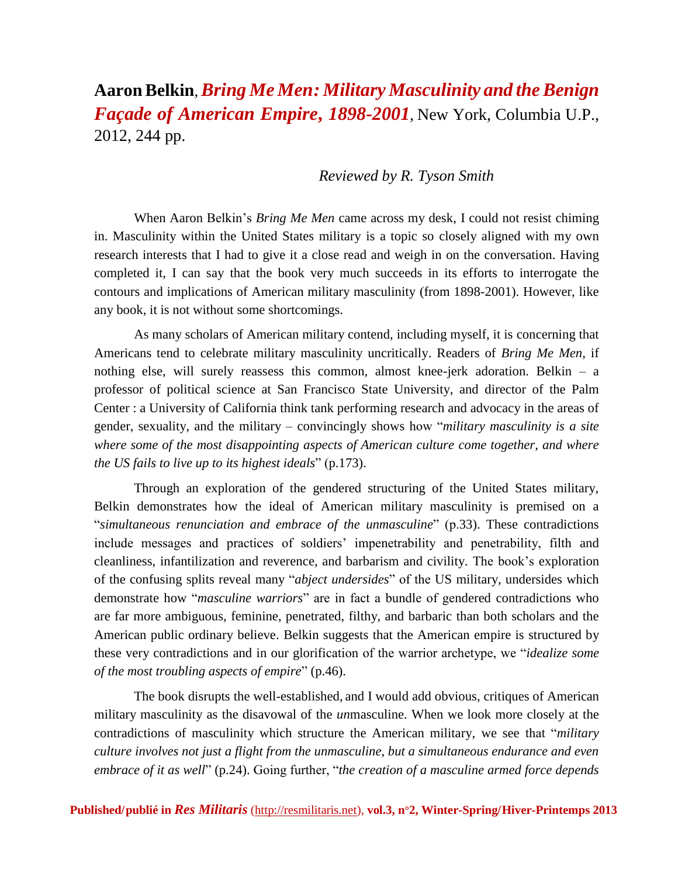## **Aaron Belkin**,*Bring Me Men: Military Masculinity and theBenign Façade of American Empire***,** *1898-2001*, New York, Columbia U.P., 2012, 244 pp.

## *Reviewed by R. Tyson Smith*

When Aaron Belkin's *Bring Me Men* came across my desk, I could not resist chiming in. Masculinity within the United States military is a topic so closely aligned with my own research interests that I had to give it a close read and weigh in on the conversation. Having completed it, I can say that the book very much succeeds in its efforts to interrogate the contours and implications of American military masculinity (from 1898-2001). However, like any book, it is not without some shortcomings.

As many scholars of American military contend, including myself, it is concerning that Americans tend to celebrate military masculinity uncritically. Readers of *Bring Me Men*, if nothing else, will surely reassess this common, almost knee-jerk adoration. Belkin – a professor of political science at San Francisco State University, and director of the Palm Center : a University of California think tank performing research and advocacy in the areas of gender, sexuality, and the military – convincingly shows how "*military masculinity is a site where some of the most disappointing aspects of American culture come together, and where the US fails to live up to its highest ideals*" (p.173).

Through an exploration of the gendered structuring of the United States military, Belkin demonstrates how the ideal of American military masculinity is premised on a "*simultaneous renunciation and embrace of the unmasculine*" (p.33). These contradictions include messages and practices of soldiers' impenetrability and penetrability, filth and cleanliness, infantilization and reverence, and barbarism and civility. The book's exploration of the confusing splits reveal many "*abject undersides*" of the US military, undersides which demonstrate how "*masculine warriors*" are in fact a bundle of gendered contradictions who are far more ambiguous, feminine, penetrated, filthy, and barbaric than both scholars and the American public ordinary believe. Belkin suggests that the American empire is structured by these very contradictions and in our glorification of the warrior archetype, we "*idealize some of the most troubling aspects of empire*" (p.46).

The book disrupts the well-established, and I would add obvious, critiques of American military masculinity as the disavowal of the *un*masculine. When we look more closely at the contradictions of masculinity which structure the American military, we see that "*military culture involves not just a flight from the unmasculine, but a simultaneous endurance and even embrace of it as well*" (p.24). Going further, "*the creation of a masculine armed force depends*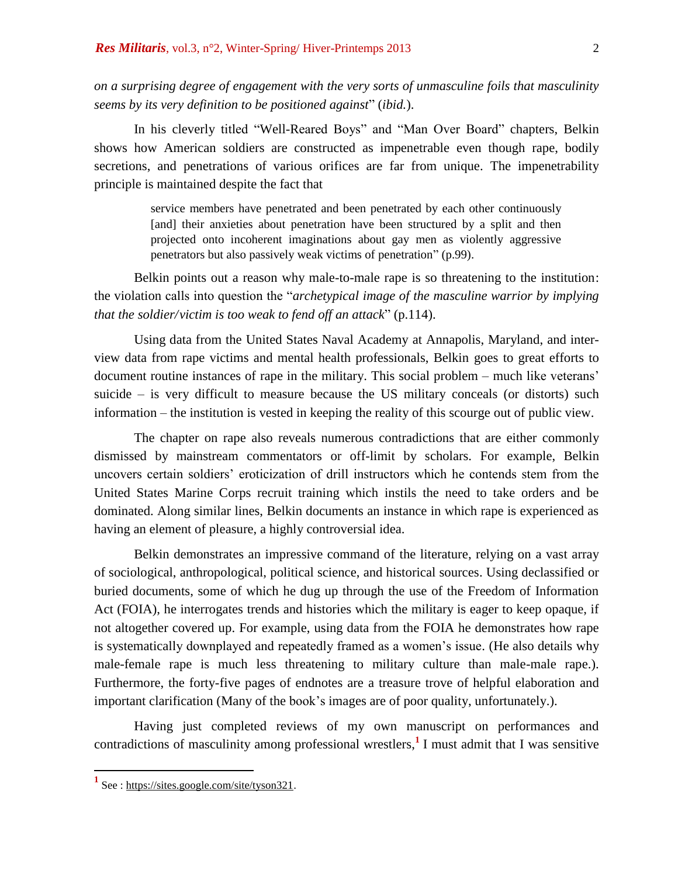*on a surprising degree of engagement with the very sorts of unmasculine foils that masculinity seems by its very definition to be positioned against*" (*ibid.*).

In his cleverly titled "Well-Reared Boys" and "Man Over Board" chapters, Belkin shows how American soldiers are constructed as impenetrable even though rape, bodily secretions, and penetrations of various orifices are far from unique. The impenetrability principle is maintained despite the fact that

> service members have penetrated and been penetrated by each other continuously [and] their anxieties about penetration have been structured by a split and then projected onto incoherent imaginations about gay men as violently aggressive penetrators but also passively weak victims of penetration" (p.99).

Belkin points out a reason why male-to-male rape is so threatening to the institution: the violation calls into question the "*archetypical image of the masculine warrior by implying that the soldier/victim is too weak to fend off an attack*" (p.114).

Using data from the United States Naval Academy at Annapolis, Maryland, and interview data from rape victims and mental health professionals, Belkin goes to great efforts to document routine instances of rape in the military. This social problem – much like veterans' suicide – is very difficult to measure because the US military conceals (or distorts) such information – the institution is vested in keeping the reality of this scourge out of public view.

The chapter on rape also reveals numerous contradictions that are either commonly dismissed by mainstream commentators or off-limit by scholars. For example, Belkin uncovers certain soldiers' eroticization of drill instructors which he contends stem from the United States Marine Corps recruit training which instils the need to take orders and be dominated. Along similar lines, Belkin documents an instance in which rape is experienced as having an element of pleasure, a highly controversial idea.

Belkin demonstrates an impressive command of the literature, relying on a vast array of sociological, anthropological, political science, and historical sources. Using declassified or buried documents, some of which he dug up through the use of the Freedom of Information Act (FOIA), he interrogates trends and histories which the military is eager to keep opaque, if not altogether covered up. For example, using data from the FOIA he demonstrates how rape is systematically downplayed and repeatedly framed as a women's issue. (He also details why male-female rape is much less threatening to military culture than male-male rape.). Furthermore, the forty-five pages of endnotes are a treasure trove of helpful elaboration and important clarification (Many of the book's images are of poor quality, unfortunately.).

Having just completed reviews of my own manuscript on performances and [contradictions of masculinity among professional wrestlers,](https://sites.google.com/site/tyson321/) **1** I must admit that I was sensitive

 $\overline{a}$ 

**<sup>1</sup>** See : [https://sites.google.com/site/tyson321.](https://sites.google.com/site/tyson321/)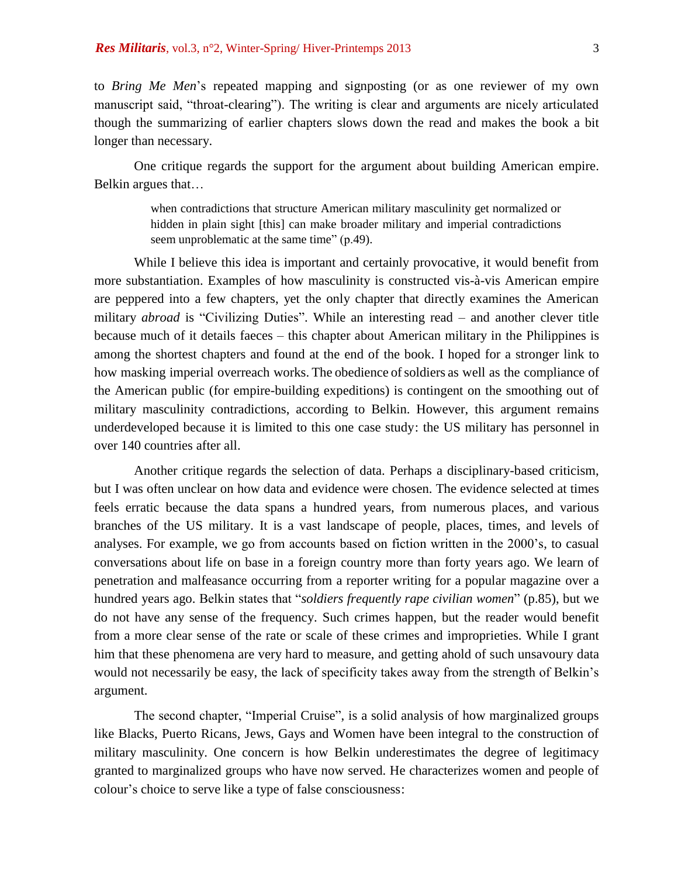to *Bring Me Men*'s repeated mapping and signposting (or as one reviewer of my own manuscript said, "throat-clearing"). The writing is clear and arguments are nicely articulated though the summarizing of earlier chapters slows down the read and makes the book a bit longer than necessary.

One critique regards the support for the argument about building American empire. Belkin argues that…

> when contradictions that structure American military masculinity get normalized or hidden in plain sight [this] can make broader military and imperial contradictions seem unproblematic at the same time" (p.49).

While I believe this idea is important and certainly provocative, it would benefit from more substantiation. Examples of how masculinity is constructed vis-à-vis American empire are peppered into a few chapters, yet the only chapter that directly examines the American military *abroad* is "Civilizing Duties". While an interesting read – and another clever title because much of it details faeces – this chapter about American military in the Philippines is among the shortest chapters and found at the end of the book. I hoped for a stronger link to how masking imperial overreach works. The obedience of soldiers as well as the compliance of the American public (for empire-building expeditions) is contingent on the smoothing out of military masculinity contradictions, according to Belkin. However, this argument remains underdeveloped because it is limited to this one case study: the US military has personnel in over 140 countries after all.

Another critique regards the selection of data. Perhaps a disciplinary-based criticism, but I was often unclear on how data and evidence were chosen. The evidence selected at times feels erratic because the data spans a hundred years, from numerous places, and various branches of the US military. It is a vast landscape of people, places, times, and levels of analyses. For example, we go from accounts based on fiction written in the 2000's, to casual conversations about life on base in a foreign country more than forty years ago. We learn of penetration and malfeasance occurring from a reporter writing for a popular magazine over a hundred years ago. Belkin states that "*soldiers frequently rape civilian women*" (p.85), but we do not have any sense of the frequency. Such crimes happen, but the reader would benefit from a more clear sense of the rate or scale of these crimes and improprieties. While I grant him that these phenomena are very hard to measure, and getting ahold of such unsavoury data would not necessarily be easy, the lack of specificity takes away from the strength of Belkin's argument.

The second chapter, "Imperial Cruise", is a solid analysis of how marginalized groups like Blacks, Puerto Ricans, Jews, Gays and Women have been integral to the construction of military masculinity. One concern is how Belkin underestimates the degree of legitimacy granted to marginalized groups who have now served. He characterizes women and people of colour's choice to serve like a type of false consciousness: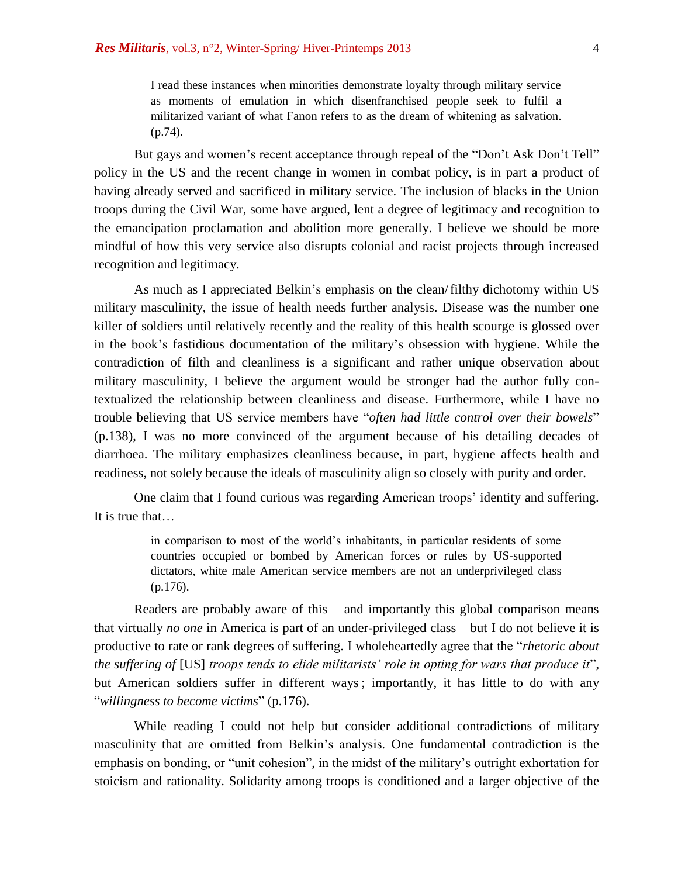I read these instances when minorities demonstrate loyalty through military service as moments of emulation in which disenfranchised people seek to fulfil a militarized variant of what Fanon refers to as the dream of whitening as salvation. (p.74).

But gays and women's recent acceptance through repeal of the "Don't Ask Don't Tell" policy in the US and the recent change in women in combat policy, is in part a product of having already served and sacrificed in military service. The inclusion of blacks in the Union troops during the Civil War, some have argued, lent a degree of legitimacy and recognition to the emancipation proclamation and abolition more generally. I believe we should be more mindful of how this very service also disrupts colonial and racist projects through increased recognition and legitimacy.

As much as I appreciated Belkin's emphasis on the clean/filthy dichotomy within US military masculinity, the issue of health needs further analysis. Disease was the number one killer of soldiers until relatively recently and the reality of this health scourge is glossed over in the book's fastidious documentation of the military's obsession with hygiene. While the contradiction of filth and cleanliness is a significant and rather unique observation about military masculinity, I believe the argument would be stronger had the author fully contextualized the relationship between cleanliness and disease. Furthermore, while I have no trouble believing that US service members have "*often had little control over their bowels*" (p.138), I was no more convinced of the argument because of his detailing decades of diarrhoea. The military emphasizes cleanliness because, in part, hygiene affects health and readiness, not solely because the ideals of masculinity align so closely with purity and order.

One claim that I found curious was regarding American troops' identity and suffering. It is true that…

> in comparison to most of the world's inhabitants, in particular residents of some countries occupied or bombed by American forces or rules by US-supported dictators, white male American service members are not an underprivileged class (p.176).

Readers are probably aware of this – and importantly this global comparison means that virtually *no one* in America is part of an under-privileged class – but I do not believe it is productive to rate or rank degrees of suffering. I wholeheartedly agree that the "*rhetoric about the suffering of* [US] *troops tends to elide militarists' role in opting for wars that produce it*", but American soldiers suffer in different ways ; importantly, it has little to do with any "*willingness to become victims*" (p.176).

While reading I could not help but consider additional contradictions of military masculinity that are omitted from Belkin's analysis. One fundamental contradiction is the emphasis on bonding, or "unit cohesion", in the midst of the military's outright exhortation for stoicism and rationality. Solidarity among troops is conditioned and a larger objective of the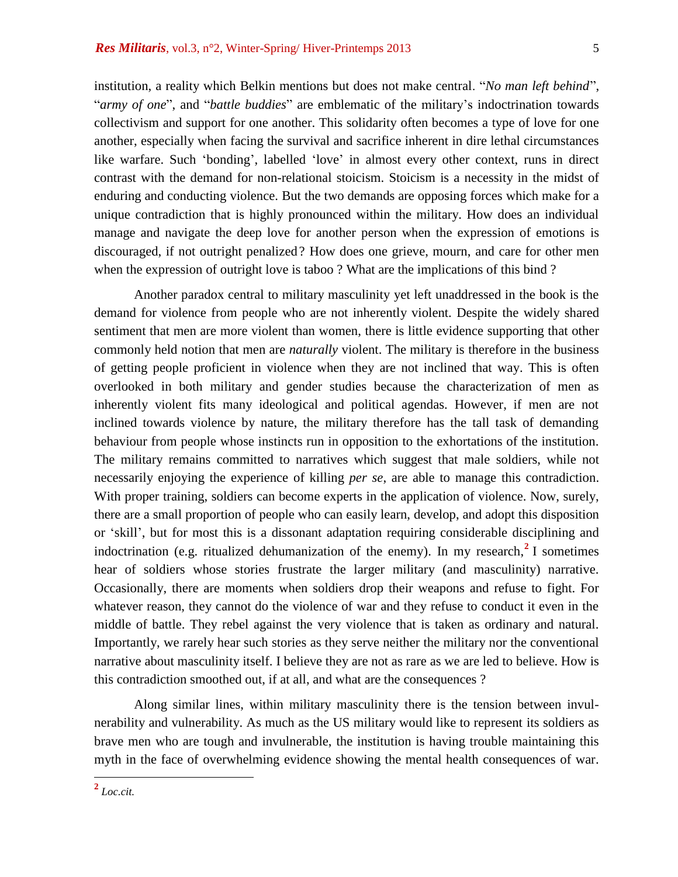institution, a reality which Belkin mentions but does not make central. "*No man left behind*", "*army of one*", and "*battle buddies*" are emblematic of the military's indoctrination towards collectivism and support for one another. This solidarity often becomes a type of love for one another, especially when facing the survival and sacrifice inherent in dire lethal circumstances like warfare. Such 'bonding', labelled 'love' in almost every other context, runs in direct contrast with the demand for non-relational stoicism. Stoicism is a necessity in the midst of enduring and conducting violence. But the two demands are opposing forces which make for a unique contradiction that is highly pronounced within the military. How does an individual manage and navigate the deep love for another person when the expression of emotions is discouraged, if not outright penalized? How does one grieve, mourn, and care for other men when the expression of outright love is taboo ? What are the implications of this bind ?

Another paradox central to military masculinity yet left unaddressed in the book is the demand for violence from people who are not inherently violent. Despite the widely shared sentiment that men are more violent than women, there is little evidence supporting that other commonly held notion that men are *naturally* violent. The military is therefore in the business of getting people proficient in violence when they are not inclined that way. This is often overlooked in both military and gender studies because the characterization of men as inherently violent fits many ideological and political agendas. However, if men are not inclined towards violence by nature, the military therefore has the tall task of demanding behaviour from people whose instincts run in opposition to the exhortations of the institution. The military remains committed to narratives which suggest that male soldiers, while not necessarily enjoying the experience of killing *per se*, are able to manage this contradiction. With proper training, soldiers can become experts in the application of violence. Now, surely, there are a small proportion of people who can easily learn, develop, and adopt this disposition or 'skill', but for most this is a dissonant adaptation requiring considerable disciplining and indoctrination (e.g. ritualized dehumanization of the enemy). In [my research,](https://sites.google.com/site/tyson321/)<sup>2</sup> I sometimes hear of soldiers whose stories frustrate the larger military (and masculinity) narrative. Occasionally, there are moments when soldiers drop their weapons and refuse to fight. For whatever reason, they cannot do the violence of war and they refuse to conduct it even in the middle of battle. They rebel against the very violence that is taken as ordinary and natural. Importantly, we rarely hear such stories as they serve neither the military nor the conventional narrative about masculinity itself. I believe they are not as rare as we are led to believe. How is this contradiction smoothed out, if at all, and what are the consequences ?

Along similar lines, within military masculinity there is the tension between invulnerability and vulnerability. As much as the US military would like to represent its soldiers as brave men who are tough and invulnerable, the institution is having trouble maintaining this myth in the face of overwhelming evidence showing the mental health consequences of war.

 **2** *Loc.cit.*